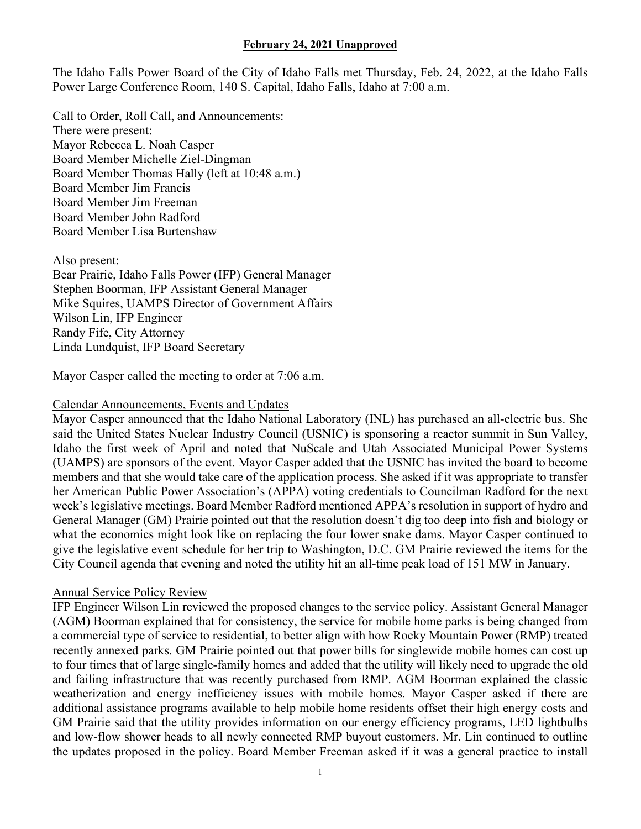The Idaho Falls Power Board of the City of Idaho Falls met Thursday, Feb. 24, 2022, at the Idaho Falls Power Large Conference Room, 140 S. Capital, Idaho Falls, Idaho at 7:00 a.m.

Call to Order, Roll Call, and Announcements: There were present: Mayor Rebecca L. Noah Casper Board Member Michelle Ziel-Dingman Board Member Thomas Hally (left at 10:48 a.m.) Board Member Jim Francis Board Member Jim Freeman Board Member John Radford Board Member Lisa Burtenshaw

Also present: Bear Prairie, Idaho Falls Power (IFP) General Manager Stephen Boorman, IFP Assistant General Manager Mike Squires, UAMPS Director of Government Affairs Wilson Lin, IFP Engineer Randy Fife, City Attorney Linda Lundquist, IFP Board Secretary

Mayor Casper called the meeting to order at 7:06 a.m.

## Calendar Announcements, Events and Updates

Mayor Casper announced that the Idaho National Laboratory (INL) has purchased an all-electric bus. She said the United States Nuclear Industry Council (USNIC) is sponsoring a reactor summit in Sun Valley, Idaho the first week of April and noted that NuScale and Utah Associated Municipal Power Systems (UAMPS) are sponsors of the event. Mayor Casper added that the USNIC has invited the board to become members and that she would take care of the application process. She asked if it was appropriate to transfer her American Public Power Association's (APPA) voting credentials to Councilman Radford for the next week's legislative meetings. Board Member Radford mentioned APPA's resolution in support of hydro and General Manager (GM) Prairie pointed out that the resolution doesn't dig too deep into fish and biology or what the economics might look like on replacing the four lower snake dams. Mayor Casper continued to give the legislative event schedule for her trip to Washington, D.C. GM Prairie reviewed the items for the City Council agenda that evening and noted the utility hit an all-time peak load of 151 MW in January.

## Annual Service Policy Review

IFP Engineer Wilson Lin reviewed the proposed changes to the service policy. Assistant General Manager (AGM) Boorman explained that for consistency, the service for mobile home parks is being changed from a commercial type of service to residential, to better align with how Rocky Mountain Power (RMP) treated recently annexed parks. GM Prairie pointed out that power bills for singlewide mobile homes can cost up to four times that of large single-family homes and added that the utility will likely need to upgrade the old and failing infrastructure that was recently purchased from RMP. AGM Boorman explained the classic weatherization and energy inefficiency issues with mobile homes. Mayor Casper asked if there are additional assistance programs available to help mobile home residents offset their high energy costs and GM Prairie said that the utility provides information on our energy efficiency programs, LED lightbulbs and low-flow shower heads to all newly connected RMP buyout customers. Mr. Lin continued to outline the updates proposed in the policy. Board Member Freeman asked if it was a general practice to install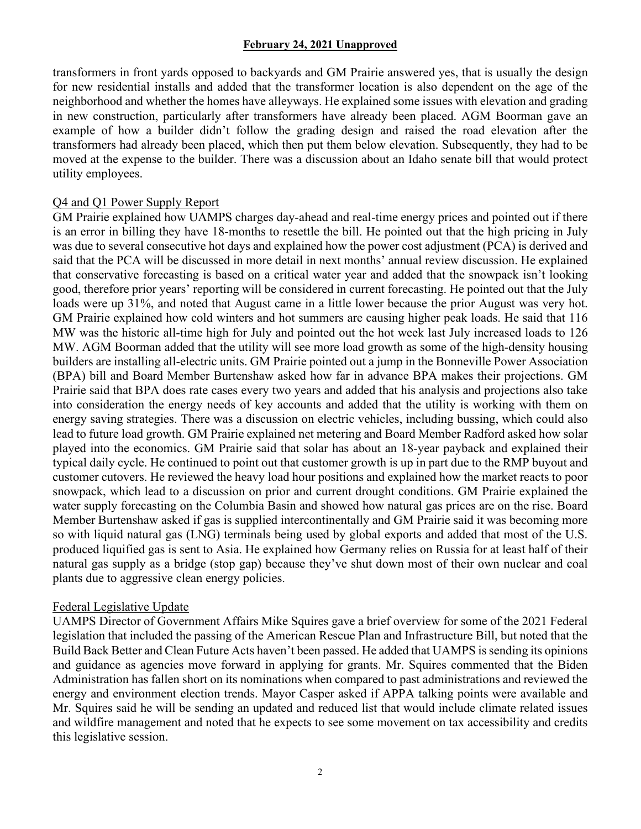transformers in front yards opposed to backyards and GM Prairie answered yes, that is usually the design for new residential installs and added that the transformer location is also dependent on the age of the neighborhood and whether the homes have alleyways. He explained some issues with elevation and grading in new construction, particularly after transformers have already been placed. AGM Boorman gave an example of how a builder didn't follow the grading design and raised the road elevation after the transformers had already been placed, which then put them below elevation. Subsequently, they had to be moved at the expense to the builder. There was a discussion about an Idaho senate bill that would protect utility employees.

# Q4 and Q1 Power Supply Report

GM Prairie explained how UAMPS charges day-ahead and real-time energy prices and pointed out if there is an error in billing they have 18-months to resettle the bill. He pointed out that the high pricing in July was due to several consecutive hot days and explained how the power cost adjustment (PCA) is derived and said that the PCA will be discussed in more detail in next months' annual review discussion. He explained that conservative forecasting is based on a critical water year and added that the snowpack isn't looking good, therefore prior years' reporting will be considered in current forecasting. He pointed out that the July loads were up 31%, and noted that August came in a little lower because the prior August was very hot. GM Prairie explained how cold winters and hot summers are causing higher peak loads. He said that 116 MW was the historic all-time high for July and pointed out the hot week last July increased loads to 126 MW. AGM Boorman added that the utility will see more load growth as some of the high-density housing builders are installing all-electric units. GM Prairie pointed out a jump in the Bonneville Power Association (BPA) bill and Board Member Burtenshaw asked how far in advance BPA makes their projections. GM Prairie said that BPA does rate cases every two years and added that his analysis and projections also take into consideration the energy needs of key accounts and added that the utility is working with them on energy saving strategies. There was a discussion on electric vehicles, including bussing, which could also lead to future load growth. GM Prairie explained net metering and Board Member Radford asked how solar played into the economics. GM Prairie said that solar has about an 18-year payback and explained their typical daily cycle. He continued to point out that customer growth is up in part due to the RMP buyout and customer cutovers. He reviewed the heavy load hour positions and explained how the market reacts to poor snowpack, which lead to a discussion on prior and current drought conditions. GM Prairie explained the water supply forecasting on the Columbia Basin and showed how natural gas prices are on the rise. Board Member Burtenshaw asked if gas is supplied intercontinentally and GM Prairie said it was becoming more so with liquid natural gas (LNG) terminals being used by global exports and added that most of the U.S. produced liquified gas is sent to Asia. He explained how Germany relies on Russia for at least half of their natural gas supply as a bridge (stop gap) because they've shut down most of their own nuclear and coal plants due to aggressive clean energy policies.

## Federal Legislative Update

UAMPS Director of Government Affairs Mike Squires gave a brief overview for some of the 2021 Federal legislation that included the passing of the American Rescue Plan and Infrastructure Bill, but noted that the Build Back Better and Clean Future Acts haven't been passed. He added that UAMPS is sending its opinions and guidance as agencies move forward in applying for grants. Mr. Squires commented that the Biden Administration has fallen short on its nominations when compared to past administrations and reviewed the energy and environment election trends. Mayor Casper asked if APPA talking points were available and Mr. Squires said he will be sending an updated and reduced list that would include climate related issues and wildfire management and noted that he expects to see some movement on tax accessibility and credits this legislative session.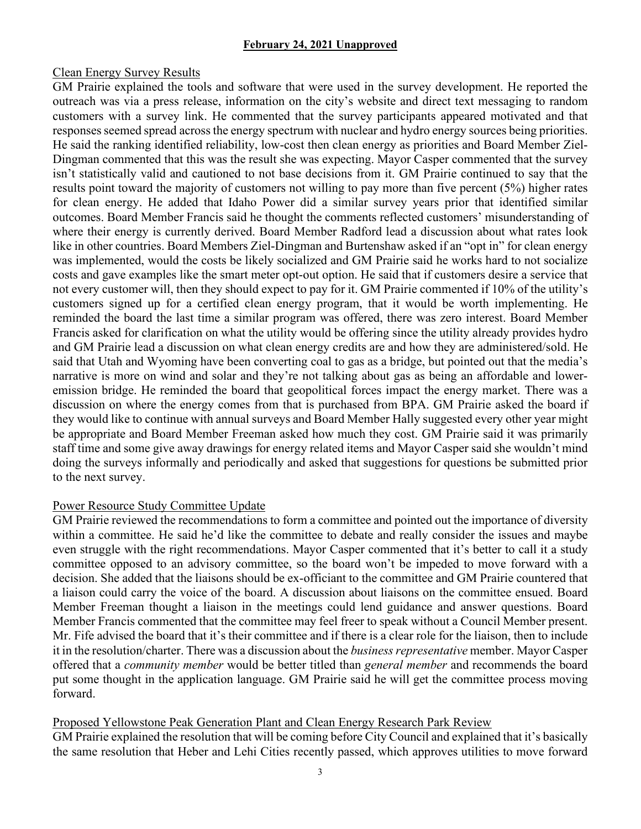## Clean Energy Survey Results

GM Prairie explained the tools and software that were used in the survey development. He reported the outreach was via a press release, information on the city's website and direct text messaging to random customers with a survey link. He commented that the survey participants appeared motivated and that responses seemed spread across the energy spectrum with nuclear and hydro energy sources being priorities. He said the ranking identified reliability, low-cost then clean energy as priorities and Board Member Ziel-Dingman commented that this was the result she was expecting. Mayor Casper commented that the survey isn't statistically valid and cautioned to not base decisions from it. GM Prairie continued to say that the results point toward the majority of customers not willing to pay more than five percent (5%) higher rates for clean energy. He added that Idaho Power did a similar survey years prior that identified similar outcomes. Board Member Francis said he thought the comments reflected customers' misunderstanding of where their energy is currently derived. Board Member Radford lead a discussion about what rates look like in other countries. Board Members Ziel-Dingman and Burtenshaw asked if an "opt in" for clean energy was implemented, would the costs be likely socialized and GM Prairie said he works hard to not socialize costs and gave examples like the smart meter opt-out option. He said that if customers desire a service that not every customer will, then they should expect to pay for it. GM Prairie commented if 10% of the utility's customers signed up for a certified clean energy program, that it would be worth implementing. He reminded the board the last time a similar program was offered, there was zero interest. Board Member Francis asked for clarification on what the utility would be offering since the utility already provides hydro and GM Prairie lead a discussion on what clean energy credits are and how they are administered/sold. He said that Utah and Wyoming have been converting coal to gas as a bridge, but pointed out that the media's narrative is more on wind and solar and they're not talking about gas as being an affordable and loweremission bridge. He reminded the board that geopolitical forces impact the energy market. There was a discussion on where the energy comes from that is purchased from BPA. GM Prairie asked the board if they would like to continue with annual surveys and Board Member Hally suggested every other year might be appropriate and Board Member Freeman asked how much they cost. GM Prairie said it was primarily staff time and some give away drawings for energy related items and Mayor Casper said she wouldn't mind doing the surveys informally and periodically and asked that suggestions for questions be submitted prior to the next survey.

## Power Resource Study Committee Update

GM Prairie reviewed the recommendations to form a committee and pointed out the importance of diversity within a committee. He said he'd like the committee to debate and really consider the issues and maybe even struggle with the right recommendations. Mayor Casper commented that it's better to call it a study committee opposed to an advisory committee, so the board won't be impeded to move forward with a decision. She added that the liaisons should be ex-officiant to the committee and GM Prairie countered that a liaison could carry the voice of the board. A discussion about liaisons on the committee ensued. Board Member Freeman thought a liaison in the meetings could lend guidance and answer questions. Board Member Francis commented that the committee may feel freer to speak without a Council Member present. Mr. Fife advised the board that it's their committee and if there is a clear role for the liaison, then to include it in the resolution/charter. There was a discussion about the *business representative* member. Mayor Casper offered that a *community member* would be better titled than *general member* and recommends the board put some thought in the application language. GM Prairie said he will get the committee process moving forward.

## Proposed Yellowstone Peak Generation Plant and Clean Energy Research Park Review

GM Prairie explained the resolution that will be coming before City Council and explained that it's basically the same resolution that Heber and Lehi Cities recently passed, which approves utilities to move forward